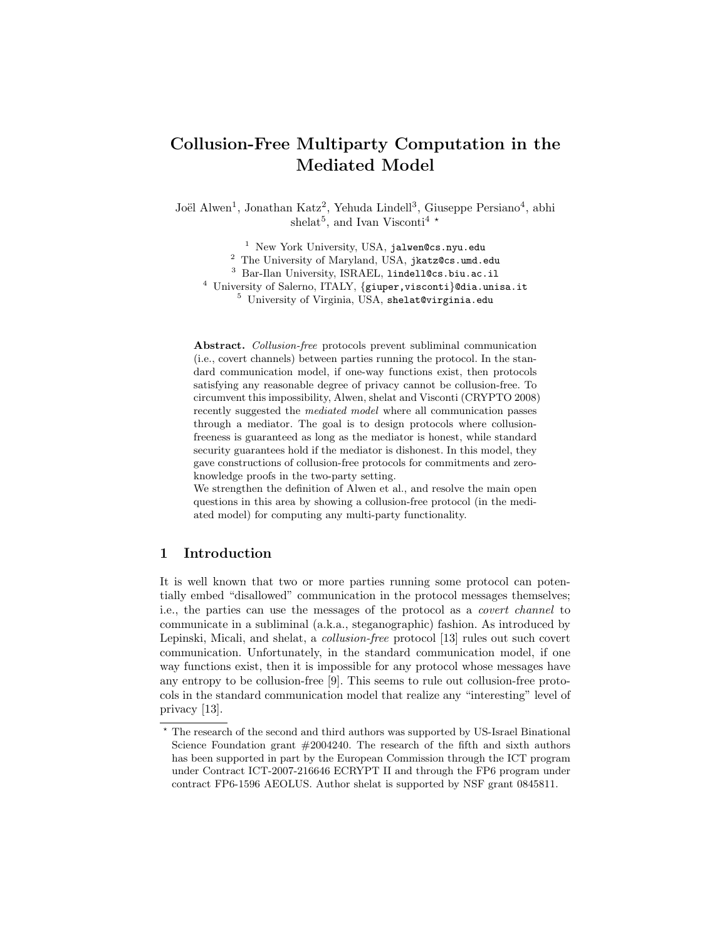# Collusion-Free Multiparty Computation in the Mediated Model

Joël Alwen<sup>1</sup>, Jonathan Katz<sup>2</sup>, Yehuda Lindell<sup>3</sup>, Giuseppe Persiano<sup>4</sup>, abhi shelat<sup>5</sup>, and Ivan Visconti<sup>4</sup>  $\star$ 

<sup>1</sup> New York University, USA, jalwen@cs.nyu.edu

<sup>2</sup> The University of Maryland, USA, jkatz@cs.umd.edu

<sup>3</sup> Bar-Ilan University, ISRAEL, lindell@cs.biu.ac.il

<sup>4</sup> University of Salerno, ITALY, {giuper,visconti}@dia.unisa.it <sup>5</sup> University of Virginia, USA, shelat@virginia.edu

Abstract. Collusion-free protocols prevent subliminal communication (i.e., covert channels) between parties running the protocol. In the standard communication model, if one-way functions exist, then protocols satisfying any reasonable degree of privacy cannot be collusion-free. To circumvent this impossibility, Alwen, shelat and Visconti (CRYPTO 2008) recently suggested the mediated model where all communication passes through a mediator. The goal is to design protocols where collusionfreeness is guaranteed as long as the mediator is honest, while standard security guarantees hold if the mediator is dishonest. In this model, they gave constructions of collusion-free protocols for commitments and zeroknowledge proofs in the two-party setting.

We strengthen the definition of Alwen et al., and resolve the main open questions in this area by showing a collusion-free protocol (in the mediated model) for computing any multi-party functionality.

# 1 Introduction

It is well known that two or more parties running some protocol can potentially embed "disallowed" communication in the protocol messages themselves; i.e., the parties can use the messages of the protocol as a covert channel to communicate in a subliminal (a.k.a., steganographic) fashion. As introduced by Lepinski, Micali, and shelat, a collusion-free protocol [13] rules out such covert communication. Unfortunately, in the standard communication model, if one way functions exist, then it is impossible for any protocol whose messages have any entropy to be collusion-free [9]. This seems to rule out collusion-free protocols in the standard communication model that realize any "interesting" level of privacy [13].

<sup>?</sup> The research of the second and third authors was supported by US-Israel Binational Science Foundation grant #2004240. The research of the fifth and sixth authors has been supported in part by the European Commission through the ICT program under Contract ICT-2007-216646 ECRYPT II and through the FP6 program under contract FP6-1596 AEOLUS. Author shelat is supported by NSF grant 0845811.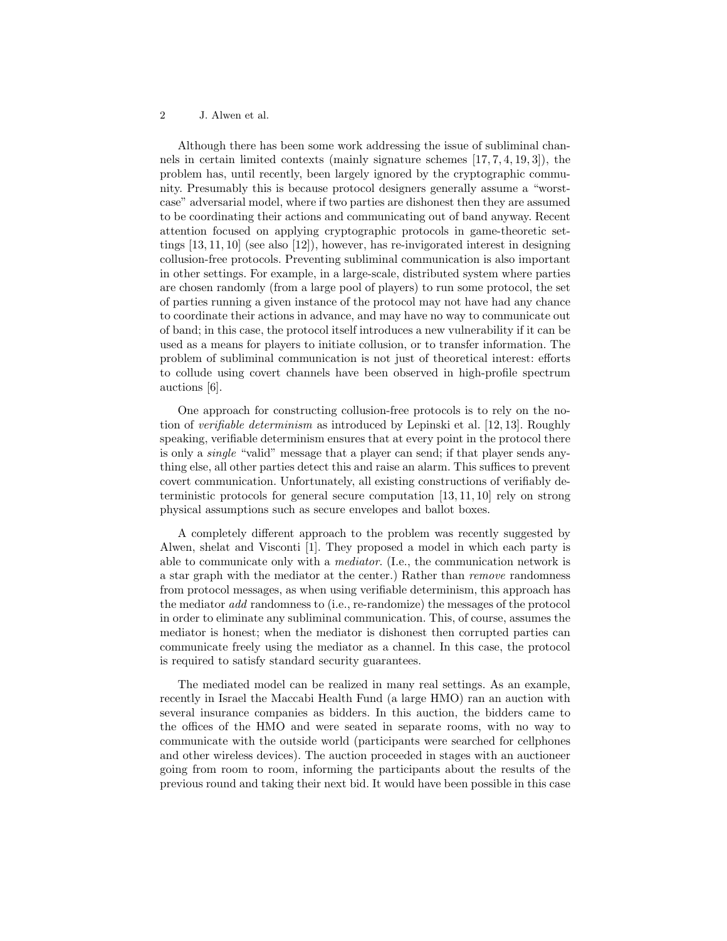Although there has been some work addressing the issue of subliminal channels in certain limited contexts (mainly signature schemes [17, 7, 4, 19, 3]), the problem has, until recently, been largely ignored by the cryptographic community. Presumably this is because protocol designers generally assume a "worstcase" adversarial model, where if two parties are dishonest then they are assumed to be coordinating their actions and communicating out of band anyway. Recent attention focused on applying cryptographic protocols in game-theoretic settings [13, 11, 10] (see also [12]), however, has re-invigorated interest in designing collusion-free protocols. Preventing subliminal communication is also important in other settings. For example, in a large-scale, distributed system where parties are chosen randomly (from a large pool of players) to run some protocol, the set of parties running a given instance of the protocol may not have had any chance to coordinate their actions in advance, and may have no way to communicate out of band; in this case, the protocol itself introduces a new vulnerability if it can be used as a means for players to initiate collusion, or to transfer information. The problem of subliminal communication is not just of theoretical interest: efforts to collude using covert channels have been observed in high-profile spectrum auctions [6].

One approach for constructing collusion-free protocols is to rely on the notion of verifiable determinism as introduced by Lepinski et al. [12, 13]. Roughly speaking, verifiable determinism ensures that at every point in the protocol there is only a single "valid" message that a player can send; if that player sends anything else, all other parties detect this and raise an alarm. This suffices to prevent covert communication. Unfortunately, all existing constructions of verifiably deterministic protocols for general secure computation [13, 11, 10] rely on strong physical assumptions such as secure envelopes and ballot boxes.

A completely different approach to the problem was recently suggested by Alwen, shelat and Visconti [1]. They proposed a model in which each party is able to communicate only with a mediator. (I.e., the communication network is a star graph with the mediator at the center.) Rather than remove randomness from protocol messages, as when using verifiable determinism, this approach has the mediator add randomness to (i.e., re-randomize) the messages of the protocol in order to eliminate any subliminal communication. This, of course, assumes the mediator is honest; when the mediator is dishonest then corrupted parties can communicate freely using the mediator as a channel. In this case, the protocol is required to satisfy standard security guarantees.

The mediated model can be realized in many real settings. As an example, recently in Israel the Maccabi Health Fund (a large HMO) ran an auction with several insurance companies as bidders. In this auction, the bidders came to the offices of the HMO and were seated in separate rooms, with no way to communicate with the outside world (participants were searched for cellphones and other wireless devices). The auction proceeded in stages with an auctioneer going from room to room, informing the participants about the results of the previous round and taking their next bid. It would have been possible in this case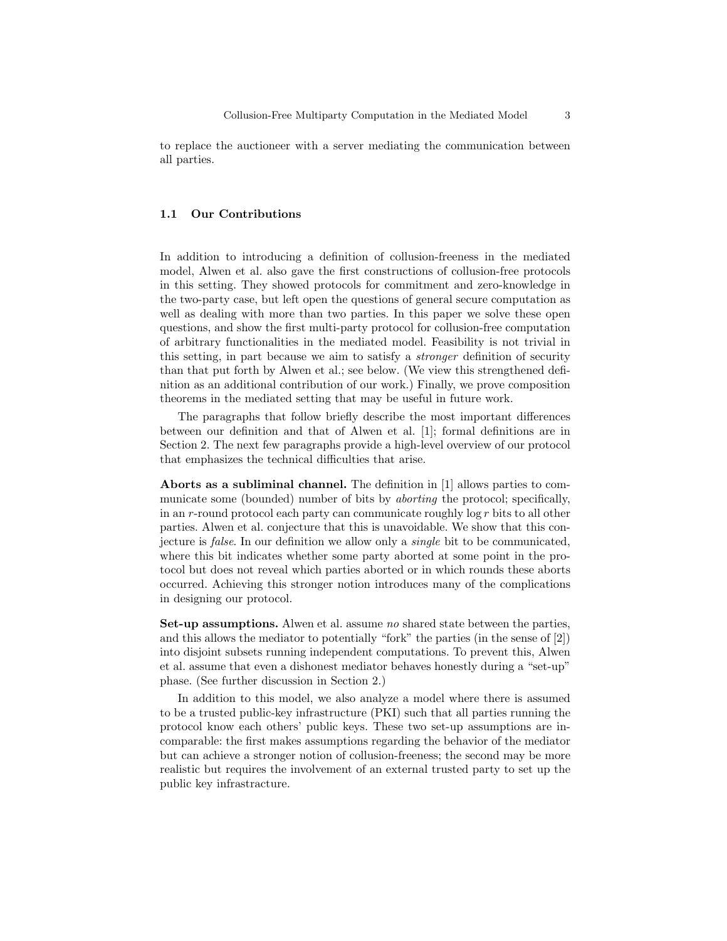to replace the auctioneer with a server mediating the communication between all parties.

## 1.1 Our Contributions

In addition to introducing a definition of collusion-freeness in the mediated model, Alwen et al. also gave the first constructions of collusion-free protocols in this setting. They showed protocols for commitment and zero-knowledge in the two-party case, but left open the questions of general secure computation as well as dealing with more than two parties. In this paper we solve these open questions, and show the first multi-party protocol for collusion-free computation of arbitrary functionalities in the mediated model. Feasibility is not trivial in this setting, in part because we aim to satisfy a stronger definition of security than that put forth by Alwen et al.; see below. (We view this strengthened definition as an additional contribution of our work.) Finally, we prove composition theorems in the mediated setting that may be useful in future work.

The paragraphs that follow briefly describe the most important differences between our definition and that of Alwen et al. [1]; formal definitions are in Section 2. The next few paragraphs provide a high-level overview of our protocol that emphasizes the technical difficulties that arise.

Aborts as a subliminal channel. The definition in [1] allows parties to communicate some (bounded) number of bits by *aborting* the protocol; specifically, in an r-round protocol each party can communicate roughly  $\log r$  bits to all other parties. Alwen et al. conjecture that this is unavoidable. We show that this conjecture is false. In our definition we allow only a single bit to be communicated, where this bit indicates whether some party aborted at some point in the protocol but does not reveal which parties aborted or in which rounds these aborts occurred. Achieving this stronger notion introduces many of the complications in designing our protocol.

Set-up assumptions. Alwen et al. assume no shared state between the parties, and this allows the mediator to potentially "fork" the parties (in the sense of [2]) into disjoint subsets running independent computations. To prevent this, Alwen et al. assume that even a dishonest mediator behaves honestly during a "set-up" phase. (See further discussion in Section 2.)

In addition to this model, we also analyze a model where there is assumed to be a trusted public-key infrastructure (PKI) such that all parties running the protocol know each others' public keys. These two set-up assumptions are incomparable: the first makes assumptions regarding the behavior of the mediator but can achieve a stronger notion of collusion-freeness; the second may be more realistic but requires the involvement of an external trusted party to set up the public key infrastracture.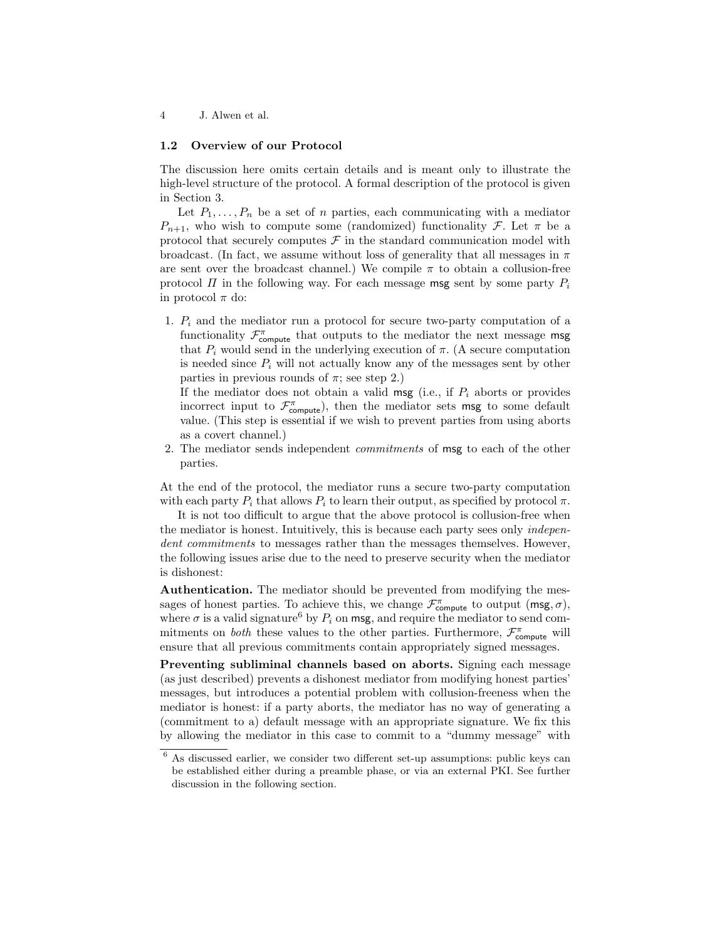### 1.2 Overview of our Protocol

The discussion here omits certain details and is meant only to illustrate the high-level structure of the protocol. A formal description of the protocol is given in Section 3.

Let  $P_1, \ldots, P_n$  be a set of n parties, each communicating with a mediator  $P_{n+1}$ , who wish to compute some (randomized) functionality  $\mathcal F$ . Let  $\pi$  be a protocol that securely computes  $\mathcal F$  in the standard communication model with broadcast. (In fact, we assume without loss of generality that all messages in  $\pi$ are sent over the broadcast channel.) We compile  $\pi$  to obtain a collusion-free protocol  $\Pi$  in the following way. For each message msg sent by some party  $P_i$ in protocol  $\pi$  do:

1.  $P_i$  and the mediator run a protocol for secure two-party computation of a functionality  $\mathcal{F}_{\text{compute}}^{\pi}$  that outputs to the mediator the next message msg that  $P_i$  would send in the underlying execution of  $\pi$ . (A secure computation is needed since  $P_i$  will not actually know any of the messages sent by other parties in previous rounds of  $\pi$ ; see step 2.)

If the mediator does not obtain a valid msg (i.e., if  $P_i$  aborts or provides incorrect input to  $\mathcal{F}_{\text{compute}}^{\pi}$ , then the mediator sets msg to some default value. (This step is essential if we wish to prevent parties from using aborts as a covert channel.)

2. The mediator sends independent commitments of msg to each of the other parties.

At the end of the protocol, the mediator runs a secure two-party computation with each party  $P_i$  that allows  $P_i$  to learn their output, as specified by protocol  $\pi$ .

It is not too difficult to argue that the above protocol is collusion-free when the mediator is honest. Intuitively, this is because each party sees only independent commitments to messages rather than the messages themselves. However, the following issues arise due to the need to preserve security when the mediator is dishonest:

Authentication. The mediator should be prevented from modifying the messages of honest parties. To achieve this, we change  $\mathcal{F}_{\text{compute}}^{\pi}$  to output  $(\text{msg}, \sigma)$ , where  $\sigma$  is a valid signature<sup>6</sup> by  $P_i$  on msg, and require the mediator to send commitments on *both* these values to the other parties. Furthermore,  $\mathcal{F}_{\text{compute}}^{\pi}$  will ensure that all previous commitments contain appropriately signed messages.

Preventing subliminal channels based on aborts. Signing each message (as just described) prevents a dishonest mediator from modifying honest parties' messages, but introduces a potential problem with collusion-freeness when the mediator is honest: if a party aborts, the mediator has no way of generating a (commitment to a) default message with an appropriate signature. We fix this by allowing the mediator in this case to commit to a "dummy message" with

<sup>6</sup> As discussed earlier, we consider two different set-up assumptions: public keys can be established either during a preamble phase, or via an external PKI. See further discussion in the following section.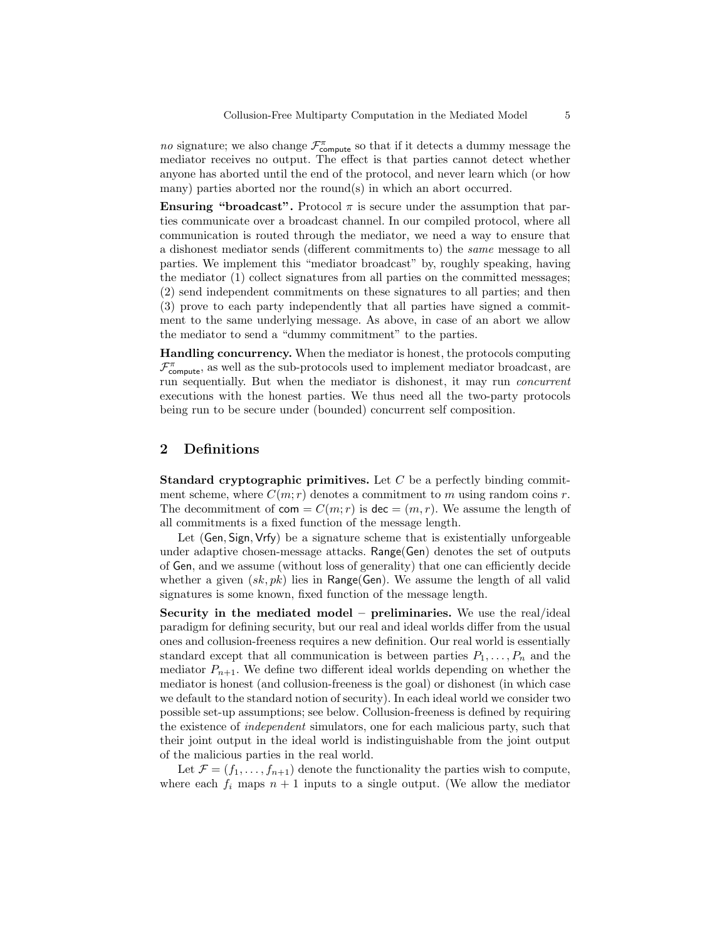no signature; we also change  $\mathcal{F}_{\text{compute}}^{\pi}$  so that if it detects a dummy message the mediator receives no output. The effect is that parties cannot detect whether anyone has aborted until the end of the protocol, and never learn which (or how many) parties aborted nor the round(s) in which an abort occurred.

**Ensuring "broadcast".** Protocol  $\pi$  is secure under the assumption that parties communicate over a broadcast channel. In our compiled protocol, where all communication is routed through the mediator, we need a way to ensure that a dishonest mediator sends (different commitments to) the same message to all parties. We implement this "mediator broadcast" by, roughly speaking, having the mediator (1) collect signatures from all parties on the committed messages; (2) send independent commitments on these signatures to all parties; and then (3) prove to each party independently that all parties have signed a commitment to the same underlying message. As above, in case of an abort we allow the mediator to send a "dummy commitment" to the parties.

Handling concurrency. When the mediator is honest, the protocols computing  $\mathcal{F}_{\text{compute}}^{\pi}$ , as well as the sub-protocols used to implement mediator broadcast, are run sequentially. But when the mediator is dishonest, it may run concurrent executions with the honest parties. We thus need all the two-party protocols being run to be secure under (bounded) concurrent self composition.

# 2 Definitions

**Standard cryptographic primitives.** Let  $C$  be a perfectly binding commitment scheme, where  $C(m;r)$  denotes a commitment to m using random coins r. The decommitment of  $com = C(m, r)$  is  $dec = (m, r)$ . We assume the length of all commitments is a fixed function of the message length.

Let (Gen, Sign, Vrfy) be a signature scheme that is existentially unforgeable under adaptive chosen-message attacks.  $Range(Gen)$  denotes the set of outputs of Gen, and we assume (without loss of generality) that one can efficiently decide whether a given  $(sk, pk)$  lies in Range(Gen). We assume the length of all valid signatures is some known, fixed function of the message length.

Security in the mediated model – preliminaries. We use the real/ideal paradigm for defining security, but our real and ideal worlds differ from the usual ones and collusion-freeness requires a new definition. Our real world is essentially standard except that all communication is between parties  $P_1, \ldots, P_n$  and the mediator  $P_{n+1}$ . We define two different ideal worlds depending on whether the mediator is honest (and collusion-freeness is the goal) or dishonest (in which case we default to the standard notion of security). In each ideal world we consider two possible set-up assumptions; see below. Collusion-freeness is defined by requiring the existence of independent simulators, one for each malicious party, such that their joint output in the ideal world is indistinguishable from the joint output of the malicious parties in the real world.

Let  $\mathcal{F} = (f_1, \ldots, f_{n+1})$  denote the functionality the parties wish to compute, where each  $f_i$  maps  $n + 1$  inputs to a single output. (We allow the mediator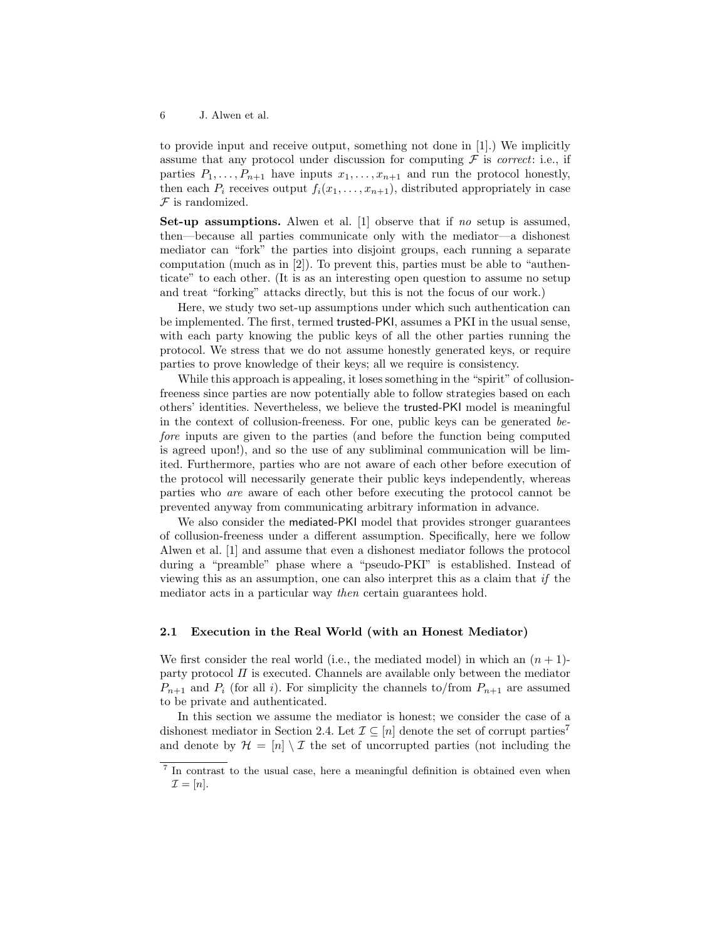to provide input and receive output, something not done in [1].) We implicitly assume that any protocol under discussion for computing  $\mathcal F$  is *correct*: i.e., if parties  $P_1, \ldots, P_{n+1}$  have inputs  $x_1, \ldots, x_{n+1}$  and run the protocol honestly, then each  $P_i$  receives output  $f_i(x_1, \ldots, x_{n+1})$ , distributed appropriately in case  ${\mathcal F}$  is randomized.

Set-up assumptions. Alwen et al. [1] observe that if no setup is assumed, then—because all parties communicate only with the mediator—a dishonest mediator can "fork" the parties into disjoint groups, each running a separate computation (much as in [2]). To prevent this, parties must be able to "authenticate" to each other. (It is as an interesting open question to assume no setup and treat "forking" attacks directly, but this is not the focus of our work.)

Here, we study two set-up assumptions under which such authentication can be implemented. The first, termed trusted-PKI, assumes a PKI in the usual sense, with each party knowing the public keys of all the other parties running the protocol. We stress that we do not assume honestly generated keys, or require parties to prove knowledge of their keys; all we require is consistency.

While this approach is appealing, it loses something in the "spirit" of collusionfreeness since parties are now potentially able to follow strategies based on each others' identities. Nevertheless, we believe the trusted-PKI model is meaningful in the context of collusion-freeness. For one, public keys can be generated before inputs are given to the parties (and before the function being computed is agreed upon!), and so the use of any subliminal communication will be limited. Furthermore, parties who are not aware of each other before execution of the protocol will necessarily generate their public keys independently, whereas parties who are aware of each other before executing the protocol cannot be prevented anyway from communicating arbitrary information in advance.

We also consider the mediated-PKI model that provides stronger guarantees of collusion-freeness under a different assumption. Specifically, here we follow Alwen et al. [1] and assume that even a dishonest mediator follows the protocol during a "preamble" phase where a "pseudo-PKI" is established. Instead of viewing this as an assumption, one can also interpret this as a claim that if the mediator acts in a particular way then certain guarantees hold.

### 2.1 Execution in the Real World (with an Honest Mediator)

We first consider the real world (i.e., the mediated model) in which an  $(n + 1)$ party protocol  $\Pi$  is executed. Channels are available only between the mediator  $P_{n+1}$  and  $P_i$  (for all i). For simplicity the channels to/from  $P_{n+1}$  are assumed to be private and authenticated.

In this section we assume the mediator is honest; we consider the case of a dishonest mediator in Section 2.4. Let  $\mathcal{I} \subseteq [n]$  denote the set of corrupt parties<sup>7</sup> and denote by  $\mathcal{H} = [n] \setminus \mathcal{I}$  the set of uncorrupted parties (not including the

<sup>&</sup>lt;sup>7</sup> In contrast to the usual case, here a meaningful definition is obtained even when  $\mathcal{I} = [n].$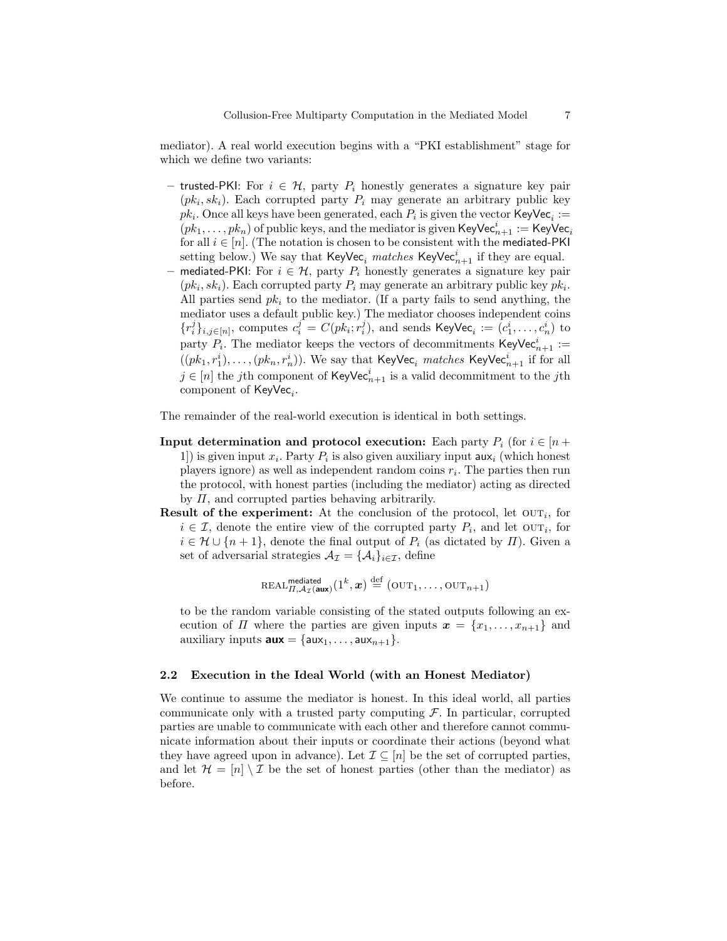mediator). A real world execution begins with a "PKI establishment" stage for which we define two variants:

- trusted-PKI: For  $i \in \mathcal{H}$ , party  $P_i$  honestly generates a signature key pair  $(pk_i, sk_i)$ . Each corrupted party  $P_i$  may generate an arbitrary public key  $pk_i$ . Once all keys have been generated, each  $P_i$  is given the vector  $\mathsf{KeyVec}_i :=$  $(pk_1, \ldots, pk_n)$  of public keys, and the mediator is given KeyVec $_{n+1}^i :=$  KeyVec for all  $i \in [n]$ . (The notation is chosen to be consistent with the mediated-PKI setting below.) We say that  $KeyVec$  matches  $KeyVec$ <sup>i</sup><sub>n+1</sub> if they are equal.
- mediated-PKI: For  $i \in \mathcal{H}$ , party  $P_i$  honestly generates a signature key pair  $(pk_i, sk_i)$ . Each corrupted party  $P_i$  may generate an arbitrary public key  $pk_i$ . All parties send  $pk_i$  to the mediator. (If a party fails to send anything, the mediator uses a default public key.) The mediator chooses independent coins  ${r_i^j}_{i,j\in[n]},$  computes  $c_i^j = C(pk_i;r_i^j)$ , and sends  $KeyVec_i := (c_1^i,\ldots,c_n^i)$  to party  $P_i$ . The mediator keeps the vectors of decommitments  $\mathsf{KeyVec}_{n+1}^i :=$  $((pk_1, r_1^i), \ldots, (pk_n, r_n^i))$ . We say that KeyVec<sub>i</sub> matches KeyVec<sup>i</sup><sub>n+1</sub> if for all  $j \in [n]$  the *j*th component of KeyVec $_{n+1}^i$  is a valid decommitment to the *j*th component of  $KeyVec_i$ .

The remainder of the real-world execution is identical in both settings.

- Input determination and protocol execution: Each party  $P_i$  (for  $i \in [n + 1]$ 1]) is given input  $x_i$ . Party  $P_i$  is also given auxiliary input aux<sub>i</sub> (which honest players ignore) as well as independent random coins  $r_i$ . The parties then run the protocol, with honest parties (including the mediator) acting as directed by  $\Pi$ , and corrupted parties behaving arbitrarily.
- Result of the experiment: At the conclusion of the protocol, let  $OUT_i$ , for  $i \in \mathcal{I}$ , denote the entire view of the corrupted party  $P_i$ , and let  $\text{OUT}_i$ , for  $i \in \mathcal{H} \cup \{n+1\}$ , denote the final output of  $P_i$  (as dictated by  $\Pi$ ). Given a set of adversarial strategies  $\mathcal{A}_{\mathcal{I}} = {\{\mathcal{A}_i\}}_{i \in \mathcal{I}}$ , define

$$
\text{REAL}_{\varPi,\mathcal{A}_{\mathcal{I}}(\text{aux})}^{\text{mediated}}(1^k,\textbf{x})\overset{\text{def}}{=}(\text{OUT}_1,\ldots,\text{OUT}_{n+1})
$$

to be the random variable consisting of the stated outputs following an execution of  $\Pi$  where the parties are given inputs  $\boldsymbol{x} = \{x_1, \ldots, x_{n+1}\}\$  and auxiliary inputs  $aux = \{aux_1, \ldots, aux_{n+1}\}.$ 

### 2.2 Execution in the Ideal World (with an Honest Mediator)

We continue to assume the mediator is honest. In this ideal world, all parties communicate only with a trusted party computing  $\mathcal F$ . In particular, corrupted parties are unable to communicate with each other and therefore cannot communicate information about their inputs or coordinate their actions (beyond what they have agreed upon in advance). Let  $\mathcal{I} \subseteq [n]$  be the set of corrupted parties, and let  $\mathcal{H} = [n] \setminus \mathcal{I}$  be the set of honest parties (other than the mediator) as before.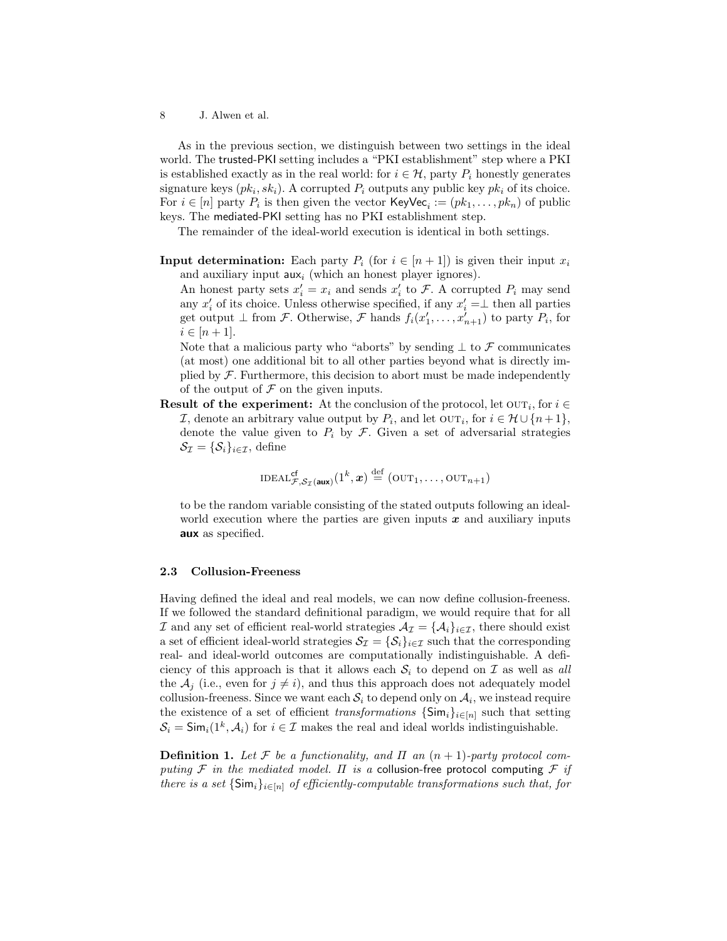As in the previous section, we distinguish between two settings in the ideal world. The trusted-PKI setting includes a "PKI establishment" step where a PKI is established exactly as in the real world: for  $i \in \mathcal{H}$ , party  $P_i$  honestly generates signature keys  $(pk_i, sk_i)$ . A corrupted  $P_i$  outputs any public key  $pk_i$  of its choice. For  $i \in [n]$  party  $P_i$  is then given the vector  $KeyVec_i := (pk_1, \ldots, pk_n)$  of public keys. The mediated-PKI setting has no PKI establishment step.

The remainder of the ideal-world execution is identical in both settings.

**Input determination:** Each party  $P_i$  (for  $i \in [n+1]$ ) is given their input  $x_i$ and auxiliary input  $\mathsf{aux}_i$  (which an honest player ignores).

An honest party sets  $x'_i = x_i$  and sends  $x'_i$  to  $\mathcal{F}$ . A corrupted  $P_i$  may send any  $x'_i$  of its choice. Unless otherwise specified, if any  $x'_i = \perp$  then all parties get output  $\perp$  from  $\mathcal{F}$ . Otherwise,  $\mathcal{F}$  hands  $f_i(x'_1, \ldots, x'_{n+1})$  to party  $P_i$ , for  $i \in [n + 1].$ 

Note that a malicious party who "aborts" by sending  $\perp$  to  $\mathcal F$  communicates (at most) one additional bit to all other parties beyond what is directly implied by  $\mathcal F$ . Furthermore, this decision to abort must be made independently of the output of  $\mathcal F$  on the given inputs.

**Result of the experiment:** At the conclusion of the protocol, let  $OUT_i$ , for  $i \in$ I, denote an arbitrary value output by  $P_i$ , and let  $\text{OUT}_i$ , for  $i \in \mathcal{H} \cup \{n+1\}$ , denote the value given to  $P_i$  by  $\mathcal F$ . Given a set of adversarial strategies  $\mathcal{S}_{\mathcal{I}} = {\mathcal{S}_i}_{i \in \mathcal{I}},$  define

$$
\text{IDEAL}_{\mathcal{F}, \mathcal{S}_{\mathcal{I}}(\text{aux})}^{\text{cf}}(1^k, x) \stackrel{\text{def}}{=} (\text{OUT}_1, \dots, \text{OUT}_{n+1})
$$

to be the random variable consisting of the stated outputs following an idealworld execution where the parties are given inputs  $x$  and auxiliary inputs aux as specified.

### 2.3 Collusion-Freeness

Having defined the ideal and real models, we can now define collusion-freeness. If we followed the standard definitional paradigm, we would require that for all I and any set of efficient real-world strategies  $A_{\mathcal{I}} = \{A_i\}_{i \in \mathcal{I}}$ , there should exist a set of efficient ideal-world strategies  $S_{\mathcal{I}} = \{S_i\}_{i \in \mathcal{I}}$  such that the corresponding real- and ideal-world outcomes are computationally indistinguishable. A deficiency of this approach is that it allows each  $S_i$  to depend on  $\mathcal I$  as well as all the  $A_j$  (i.e., even for  $j \neq i$ ), and thus this approach does not adequately model collusion-freeness. Since we want each  $\mathcal{S}_i$  to depend only on  $\mathcal{A}_i$ , we instead require the existence of a set of efficient transformations  $\{\mathsf{Sim}_i\}_{i\in[n]}$  such that setting  $S_i = \mathsf{Sim}_i(1^k, \mathcal{A}_i)$  for  $i \in \mathcal{I}$  makes the real and ideal worlds indistinguishable.

**Definition 1.** Let F be a functionality, and  $\Pi$  an  $(n + 1)$ -party protocol computing  $\mathcal F$  in the mediated model.  $\Pi$  is a collusion-free protocol computing  $\mathcal F$  if there is a set  $\{\mathsf{Sim}_i\}_{i \in [n]}$  of efficiently-computable transformations such that, for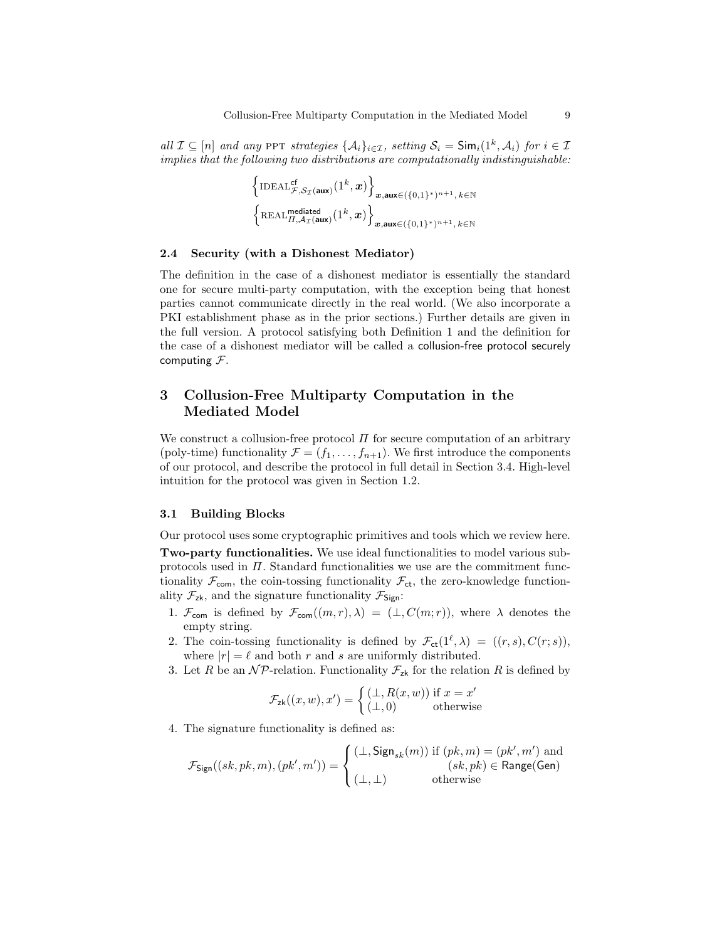all  $\mathcal{I} \subseteq [n]$  and any PPT strategies  $\{A_i\}_{i \in \mathcal{I}}$ , setting  $\mathcal{S}_i = \textsf{Sim}_i(1^k, \mathcal{A}_i)$  for  $i \in \mathcal{I}$ implies that the following two distributions are computationally indistinguishable:

$$
\hspace{1.5cm}\left\{\text{IDEAL}_{\mathcal{F},\mathcal{S}_{\mathcal{I}}(\mathbf{aux})}^{\mathsf{cf}}(1^{k},\boldsymbol{x})\right\}_{\boldsymbol{x},\mathbf{aux}\in(\{0,1\}^*)^{n+1},\,k\in\mathbb{N}}\\\left\{\text{REAL}_{\Pi,\mathcal{A}_{\mathcal{I}}(\mathbf{aux})}^{\text{mediated}}(1^{k},\boldsymbol{x})\right\}_{\boldsymbol{x},\mathbf{aux}\in(\{0,1\}^*)^{n+1},\,k\in\mathbb{N}}\\
$$

### 2.4 Security (with a Dishonest Mediator)

The definition in the case of a dishonest mediator is essentially the standard one for secure multi-party computation, with the exception being that honest parties cannot communicate directly in the real world. (We also incorporate a PKI establishment phase as in the prior sections.) Further details are given in the full version. A protocol satisfying both Definition 1 and the definition for the case of a dishonest mediator will be called a collusion-free protocol securely computing  $\mathcal{F}$ .

# 3 Collusion-Free Multiparty Computation in the Mediated Model

We construct a collusion-free protocol  $\Pi$  for secure computation of an arbitrary (poly-time) functionality  $\mathcal{F} = (f_1, \ldots, f_{n+1})$ . We first introduce the components of our protocol, and describe the protocol in full detail in Section 3.4. High-level intuition for the protocol was given in Section 1.2.

### 3.1 Building Blocks

Our protocol uses some cryptographic primitives and tools which we review here.

Two-party functionalities. We use ideal functionalities to model various subprotocols used in  $\Pi$ . Standard functionalities we use are the commitment functionality  $\mathcal{F}_{\text{com}}$ , the coin-tossing functionality  $\mathcal{F}_{\text{ct}}$ , the zero-knowledge functionality  $\mathcal{F}_{\mathsf{zk}}$ , and the signature functionality  $\mathcal{F}_{\mathsf{Sign}}$ :

- 1.  $\mathcal{F}_{com}$  is defined by  $\mathcal{F}_{com}((m,r),\lambda) = (\perp, C(m,r)),$  where  $\lambda$  denotes the empty string.
- 2. The coin-tossing functionality is defined by  $\mathcal{F}_{ct}(1^{\ell}, \lambda) = ((r, s), C(r; s)),$ where  $|r| = \ell$  and both r and s are uniformly distributed.
- 3. Let R be an  $\mathcal{NP}$ -relation. Functionality  $\mathcal{F}_{zk}$  for the relation R is defined by

$$
\mathcal{F}_{\mathsf{zk}}((x,w),x') = \begin{cases} (\bot, R(x,w)) \text{ if } x = x'\\ (\bot, 0) \text{ otherwise} \end{cases}
$$

4. The signature functionality is defined as:

$$
\mathcal{F}_{\mathsf{Sign}}((sk,pk,m),(pk',m')) = \left\{ \begin{aligned} (\bot,\mathsf{Sign}_{sk}(m)) &\text{ if } (pk,m) = (pk',m') \text{ and } \\ (sk,pk) &\in \mathsf{Range}(\mathsf{Gen}) \\ (\bot,\bot) &\text{ otherwise } \end{aligned} \right.
$$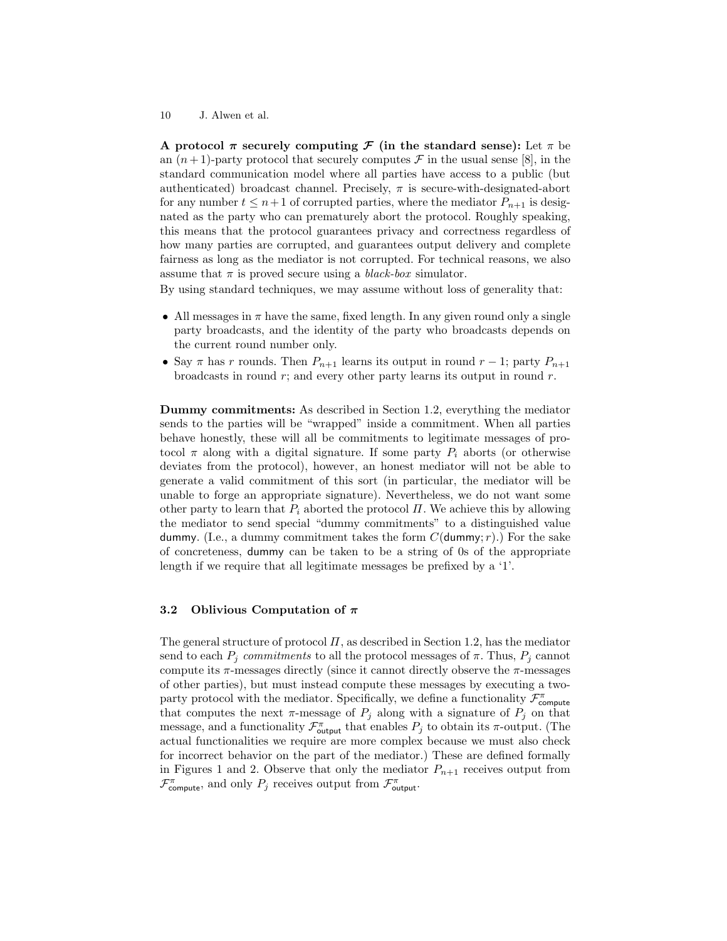A protocol  $\pi$  securely computing  $\mathcal F$  (in the standard sense): Let  $\pi$  be an  $(n+1)$ -party protocol that securely computes  $\mathcal F$  in the usual sense [8], in the standard communication model where all parties have access to a public (but authenticated) broadcast channel. Precisely,  $\pi$  is secure-with-designated-abort for any number  $t \leq n+1$  of corrupted parties, where the mediator  $P_{n+1}$  is designated as the party who can prematurely abort the protocol. Roughly speaking, this means that the protocol guarantees privacy and correctness regardless of how many parties are corrupted, and guarantees output delivery and complete fairness as long as the mediator is not corrupted. For technical reasons, we also assume that  $\pi$  is proved secure using a *black-box* simulator.

By using standard techniques, we may assume without loss of generality that:

- All messages in  $\pi$  have the same, fixed length. In any given round only a single party broadcasts, and the identity of the party who broadcasts depends on the current round number only.
- Say  $\pi$  has r rounds. Then  $P_{n+1}$  learns its output in round  $r-1$ ; party  $P_{n+1}$ broadcasts in round  $r$ ; and every other party learns its output in round  $r$ .

Dummy commitments: As described in Section 1.2, everything the mediator sends to the parties will be "wrapped" inside a commitment. When all parties behave honestly, these will all be commitments to legitimate messages of protocol  $\pi$  along with a digital signature. If some party  $P_i$  aborts (or otherwise deviates from the protocol), however, an honest mediator will not be able to generate a valid commitment of this sort (in particular, the mediator will be unable to forge an appropriate signature). Nevertheless, we do not want some other party to learn that  $P_i$  aborted the protocol  $\Pi$ . We achieve this by allowing the mediator to send special "dummy commitments" to a distinguished value dummy. (I.e., a dummy commitment takes the form  $C$ (dummy; r).) For the sake of concreteness, dummy can be taken to be a string of 0s of the appropriate length if we require that all legitimate messages be prefixed by a '1'.

#### 3.2 Oblivious Computation of  $\pi$

The general structure of protocol  $\Pi$ , as described in Section 1.2, has the mediator send to each  $P_i$  commitments to all the protocol messages of  $\pi$ . Thus,  $P_j$  cannot compute its  $\pi$ -messages directly (since it cannot directly observe the  $\pi$ -messages of other parties), but must instead compute these messages by executing a twoparty protocol with the mediator. Specifically, we define a functionality  $\mathcal{F}_{\mathsf{compute}}^{\pi}$ that computes the next  $\pi$ -message of  $P_j$  along with a signature of  $P_j$  on that message, and a functionality  $\mathcal{F}_{\text{output}}^{\pi}$  that enables  $P_j$  to obtain its  $\pi$ -output. (The actual functionalities we require are more complex because we must also check for incorrect behavior on the part of the mediator.) These are defined formally in Figures 1 and 2. Observe that only the mediator  $P_{n+1}$  receives output from  $\mathcal{F}_{\text{compute}}^{\pi}$ , and only  $P_j$  receives output from  $\mathcal{F}_{\text{output}}^{\pi}$ .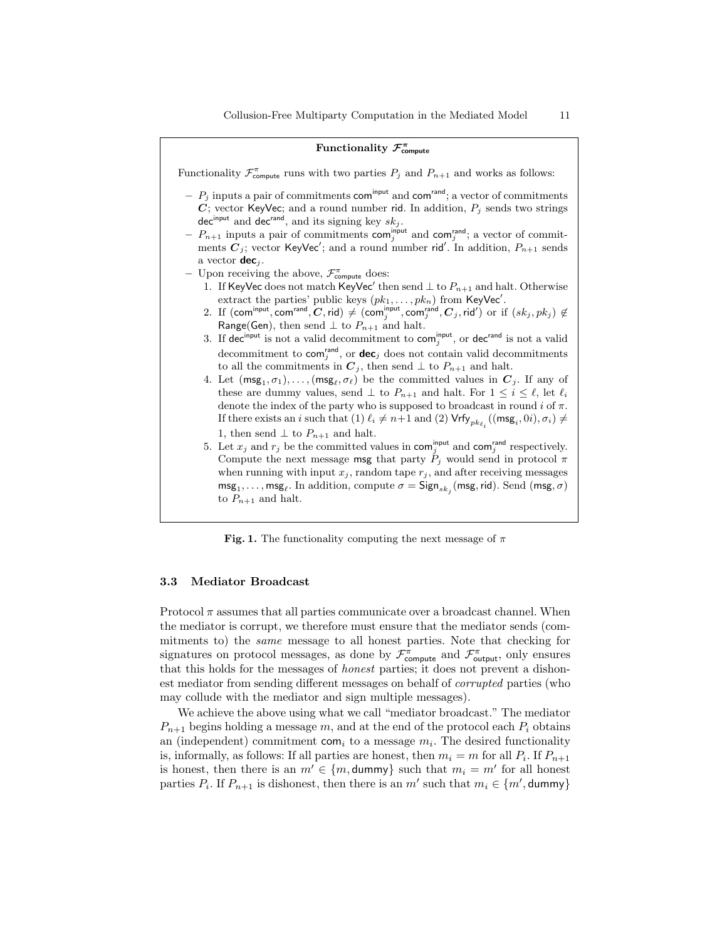| Functionality $\mathcal{F}_{\text{compute}}^{\pi}$                                                                                                                                                                                                                                                                                                                                                                                                                                                        |
|-----------------------------------------------------------------------------------------------------------------------------------------------------------------------------------------------------------------------------------------------------------------------------------------------------------------------------------------------------------------------------------------------------------------------------------------------------------------------------------------------------------|
| Functionality $\mathcal{F}_{\text{compute}}^{\pi}$ runs with two parties $P_j$ and $P_{n+1}$ and works as follows:                                                                                                                                                                                                                                                                                                                                                                                        |
| - $P_j$ inputs a pair of commitments com <sup>input</sup> and com <sup>rand</sup> ; a vector of commitments<br>$C$ ; vector KeyVec; and a round number rid. In addition, $P_j$ sends two strings<br>$\det^{\text{input}}$ and $\det^{\text{rand}}$ , and its signing key $sk_j$ .<br>- $P_{n+1}$ inputs a pair of commitments $\text{com}_j^{\text{input}}$ and $\text{com}_j^{\text{rand}}$ ; a vector of commit-<br>ments $C_j$ ; vector KeyVec'; and a round number rid'. In addition, $P_{n+1}$ sends |
| a vector <b>dec</b> <sub><i>i</i></sub> .                                                                                                                                                                                                                                                                                                                                                                                                                                                                 |
| - Upon receiving the above, $\mathcal{F}_{\text{compute}}^{\pi}$ does:<br>1. If KeyVec does not match KeyVec' then send $\perp$ to $P_{n+1}$ and halt. Otherwise<br>extract the parties' public keys $(pk_1, \ldots, pk_n)$ from KeyVec'.<br>2. If $(\text{com}^{\text{input}}, \text{com}^{\text{rand}}, C, \text{rid}) \neq (\text{com}^{\text{input}}_j, \text{com}^{\text{rand}}_j, C_j, \text{rid}')$ or if $(sk_j, pk_j) \notin$<br>Range(Gen), then send $\perp$ to $P_{n+1}$ and halt.            |
| 3. If dec <sup>input</sup> is not a valid decommitment to $com_i^{input}$ , or dec <sup>rand</sup> is not a valid<br>decommitment to $com_j^{\text{rand}}$ , or $dec_j$ does not contain valid decommitments<br>to all the commitments in $C_j$ , then send $\perp$ to $P_{n+1}$ and halt.                                                                                                                                                                                                                |
| 4. Let $(\text{msg}_1, \sigma_1), \ldots, (\text{msg}_\ell, \sigma_\ell)$ be the committed values in $C_j$ . If any of<br>these are dummy values, send $\perp$ to $P_{n+1}$ and halt. For $1 \leq i \leq \ell$ , let $\ell_i$<br>denote the index of the party who is supposed to broadcast in round $i$ of $\pi$ .<br>If there exists an <i>i</i> such that (1) $\ell_i \neq n+1$ and (2) $Vrf_{pk_{\ell_i}}((msg_i,0i),\sigma_i) \neq$<br>1, then send $\perp$ to $P_{n+1}$ and halt.                   |
| 5. Let $x_j$ and $r_j$ be the committed values in com <sup>input</sup> and com <sup>ind</sup> respectively.<br>Compute the next message msg that party $P_j$ would send in protocol $\pi$<br>when running with input $x_j$ , random tape $r_j$ , and after receiving messages<br>$\mathsf{msg}_1,\ldots,\mathsf{msg}_\ell$ . In addition, compute $\sigma = \mathsf{Sign}_{sk_i}(\mathsf{msg}, \mathsf{rid})$ . Send $(\mathsf{msg}, \sigma)$                                                             |

Fig. 1. The functionality computing the next message of  $\pi$ 

### 3.3 Mediator Broadcast

to  $P_{n+1}$  and halt.

Protocol  $\pi$  assumes that all parties communicate over a broadcast channel. When the mediator is corrupt, we therefore must ensure that the mediator sends (commitments to) the same message to all honest parties. Note that checking for signatures on protocol messages, as done by  $\mathcal{F}_{\text{compute}}^{\pi}$  and  $\mathcal{F}_{\text{output}}^{\pi}$ , only ensures that this holds for the messages of honest parties; it does not prevent a dishonest mediator from sending different messages on behalf of corrupted parties (who may collude with the mediator and sign multiple messages).

We achieve the above using what we call "mediator broadcast." The mediator  $P_{n+1}$  begins holding a message m, and at the end of the protocol each  $P_i$  obtains an (independent) commitment  $com_i$  to a message  $m_i$ . The desired functionality is, informally, as follows: If all parties are honest, then  $m_i = m$  for all  $P_i$ . If  $P_{n+1}$ is honest, then there is an  $m' \in \{m, \text{dummy}\}$  such that  $m_i = m'$  for all honest parties  $P_i$ . If  $P_{n+1}$  is dishonest, then there is an m' such that  $m_i \in \{m', \text{dummy}\}$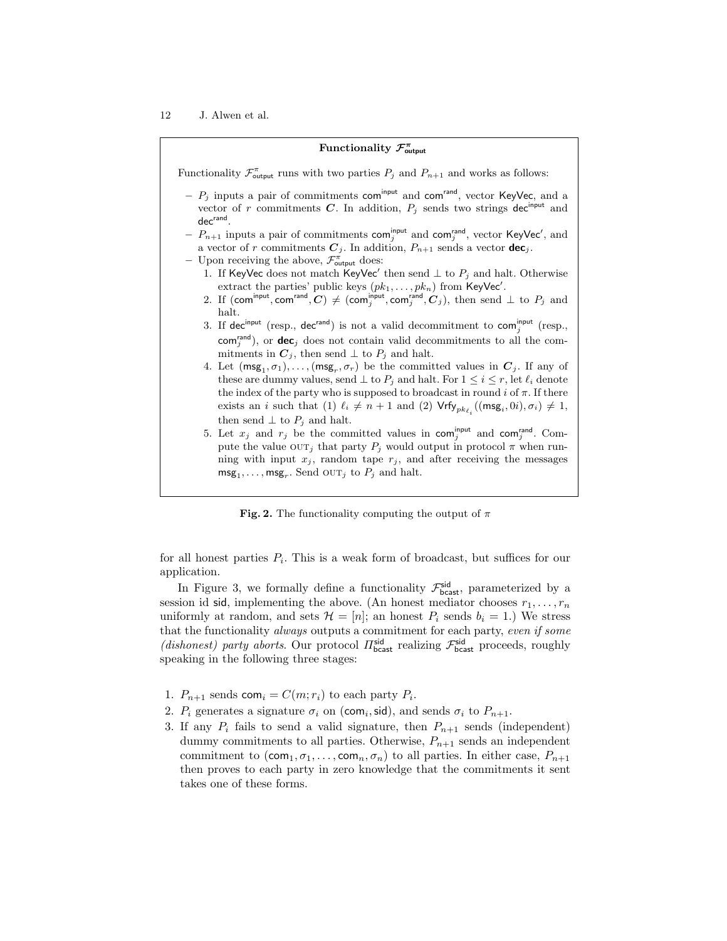# Functionality  $\mathcal{F}_{\text{output}}^{\pi}$

Functionality  $\mathcal{F}_{\text{output}}^{\pi}$  runs with two parties  $P_j$  and  $P_{n+1}$  and works as follows:

- $P_j$  inputs a pair of commitments com<sup>input</sup> and com<sup>rand</sup>, vector KeyVec, and a vector of r commitments C. In addition,  $P_j$  sends two strings dec<sup>input</sup> and dec<sup>rand</sup>.
- $P_{n+1}$  inputs a pair of commitments com<sup>input</sup> and com<sup>rand</sup>, vector KeyVec', and a vector of r commitments  $C_j$ . In addition,  $P_{n+1}$  sends a vector  $dec_j$ .
- Upon receiving the above,  $\mathcal{F}_{\text{output}}^{\pi}$  does:
	- 1. If KeyVec does not match KeyVec' then send  $\perp$  to  $P_j$  and halt. Otherwise extract the parties' public keys  $(pk_1, \ldots, pk_n)$  from KeyVec'.
	- 2. If  $(\mathsf{com}^\mathsf{input}, \mathsf{com}^\mathsf{rand}, \bm{C}) \neq (\mathsf{com}^\mathsf{input}_j, \mathsf{com}^\mathsf{rand}_j, \bm{C}_j), \text{ then send } \bot \text{ to } P_j \text{ and }$ halt.
	- 3. If dec<sup>input</sup> (resp., dec<sup>rand</sup>) is not a valid decommitment to com<sub>j</sub><sup>nput</sup> (resp., com<sup>rand</sup>), or **dec**<sub>j</sub> does not contain valid decommitments to all the commitments in  $C_j$ , then send  $\perp$  to  $P_j$  and halt.
	- 4. Let  $(msg_1, \sigma_1), \ldots, (msg_r, \sigma_r)$  be the committed values in  $C_j$ . If any of these are dummy values, send  $\perp$  to  $P_j$  and halt. For  $1 \leq i \leq r$ , let  $\ell_i$  denote the index of the party who is supposed to broadcast in round  $i$  of  $\pi$ . If there exists an *i* such that (1)  $\ell_i \neq n + 1$  and (2)  $\mathsf{Vrfy}_{pk_{\ell_i}}((\mathsf{msg}_i, 0i), \sigma_i) \neq 1$ , then send  $\perp$  to  $P_j$  and halt.
	- 5. Let  $x_j$  and  $r_j$  be the committed values in com<sup>input</sup> and com<sup>rand</sup>. Compute the value  $\text{OUT}_j$  that party  $P_j$  would output in protocol  $\pi$  when running with input  $x_j$ , random tape  $r_j$ , and after receiving the messages  $\mathsf{msg}_1, \ldots, \mathsf{msg}_r$ . Send  $\texttt{OUT}_j$  to  $P_j$  and halt.

Fig. 2. The functionality computing the output of  $\pi$ 

for all honest parties  $P_i$ . This is a weak form of broadcast, but suffices for our application.

In Figure 3, we formally define a functionality  $\mathcal{F}_{\text{best}}^{\text{sid}}$ , parameterized by a session id sid, implementing the above. (An honest mediator chooses  $r_1, \ldots, r_n$ ) uniformly at random, and sets  $\mathcal{H} = [n]$ ; an honest  $P_i$  sends  $b_i = 1$ .) We stress that the functionality always outputs a commitment for each party, even if some (dishonest) party aborts. Our protocol  $\Pi_{\text{beat}}^{\text{sid}}$  realizing  $\mathcal{F}_{\text{beat}}^{\text{sid}}$  proceeds, roughly speaking in the following three stages:

- 1.  $P_{n+1}$  sends com<sub>i</sub> =  $C(m;r_i)$  to each party  $P_i$ .
- 2.  $P_i$  generates a signature  $\sigma_i$  on (com<sub>i</sub>, sid), and sends  $\sigma_i$  to  $P_{n+1}$ .
- 3. If any  $P_i$  fails to send a valid signature, then  $P_{n+1}$  sends (independent) dummy commitments to all parties. Otherwise,  $P_{n+1}$  sends an independent commitment to  $(\text{com}_1, \sigma_1, \ldots, \text{com}_n, \sigma_n)$  to all parties. In either case,  $P_{n+1}$ then proves to each party in zero knowledge that the commitments it sent takes one of these forms.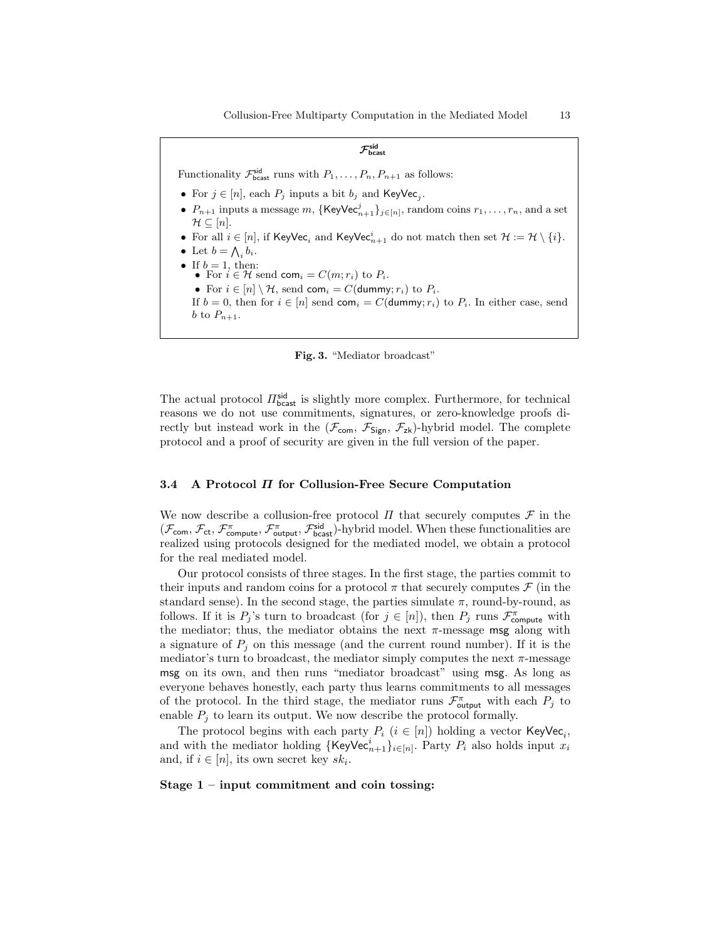# $\mathcal{F}^{\rm sid}_{\rm{bcast}}$

Functionality  $\mathcal{F}_{\text{bcast}}^{\text{sid}}$  runs with  $P_1, \ldots, P_n, P_{n+1}$  as follows:

- For  $j \in [n]$ , each  $P_j$  inputs a bit  $b_j$  and KeyVec<sub>j</sub>.
- $P_{n+1}$  inputs a message  $m$ , {KeyVec<sup>j</sup><sub>n+1</sub>}<sub>j∈[n]</sub>, random coins  $r_1, \ldots, r_n$ , and a set  $\mathcal{H} \subseteq [n]$ .
- For all  $i \in [n]$ , if KeyVec<sub>i</sub> and KeyVec<sup>i</sup><sub>n+1</sub> do not match then set  $\mathcal{H} := \mathcal{H} \setminus \{i\}.$
- Let  $b = \bigwedge_i b_i$ .
- If  $b = 1$ , then:
	- For  $i \in \mathcal{H}$  send com $i = C(m; r_i)$  to  $P_i$ .
	- For  $i \in [n] \setminus \mathcal{H}$ , send com $i = C$ (dummy;  $r_i$ ) to  $P_i$ . If  $b = 0$ , then for  $i \in [n]$  send  $com_i = C($ dummy;  $r_i)$  to  $P_i$ . In either case, send b to  $P_{n+1}$ .



The actual protocol  $\pi_{\text{best}}^{\text{sid}}$  is slightly more complex. Furthermore, for technical reasons we do not use commitments, signatures, or zero-knowledge proofs directly but instead work in the  $(\mathcal{F}_{com}, \mathcal{F}_{Sign}, \mathcal{F}_{zk})$ -hybrid model. The complete protocol and a proof of security are given in the full version of the paper.

### 3.4 A Protocol  $\Pi$  for Collusion-Free Secure Computation

We now describe a collusion-free protocol  $\Pi$  that securely computes  $\mathcal F$  in the  $(\mathcal{F}_{\text{com}}, \mathcal{F}_{\text{ct}}, \mathcal{F}_{\text{compute}}^{\pi}, \mathcal{F}_{\text{output}}^{\text{sid}}, \mathcal{F}_{\text{best}}^{\text{sid}})$ -hybrid model. When these functionalities are realized using protocols designed for the mediated model, we obtain a protocol for the real mediated model.

Our protocol consists of three stages. In the first stage, the parties commit to their inputs and random coins for a protocol  $\pi$  that securely computes  $\mathcal F$  (in the standard sense). In the second stage, the parties simulate  $\pi$ , round-by-round, as follows. If it is  $P_j$ 's turn to broadcast (for  $j \in [n]$ ), then  $P_j$  runs  $\mathcal{F}_{\text{compute}}^{\pi}$  with the mediator; thus, the mediator obtains the next  $\pi$ -message msg along with a signature of  $P_i$  on this message (and the current round number). If it is the mediator's turn to broadcast, the mediator simply computes the next  $\pi$ -message msg on its own, and then runs "mediator broadcast" using msg. As long as everyone behaves honestly, each party thus learns commitments to all messages of the protocol. In the third stage, the mediator runs  $\mathcal{F}_{\text{output}}^{\pi}$  with each  $P_j$  to enable  $P_j$  to learn its output. We now describe the protocol formally.

The protocol begins with each party  $P_i$   $(i \in [n])$  holding a vector KeyVec<sub>i</sub>, and with the mediator holding  $\{\text{KeyVec}_{n+1}^i\}_{i \in [n]}\$ . Party  $P_i$  also holds input  $x_i$ and, if  $i \in [n]$ , its own secret key  $sk_i$ .

Stage 1 – input commitment and coin tossing: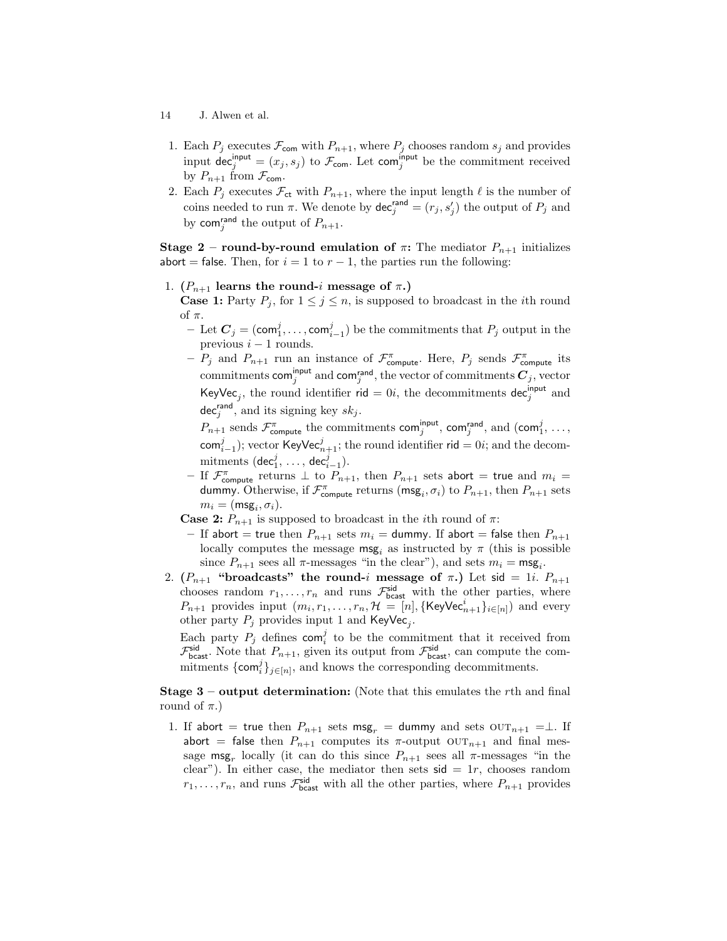- 14 J. Alwen et al.
	- 1. Each  $P_j$  executes  $\mathcal{F}_{com}$  with  $P_{n+1}$ , where  $P_j$  chooses random  $s_j$  and provides input dec<sup>input</sup> =  $(x_j, s_j)$  to  $\mathcal{F}_{com}$ . Let com<sup>input</sup> be the commitment received by  $P_{n+1}$  from  $\mathcal{F}_{\text{com}}$ .
	- 2. Each  $P_j$  executes  $\mathcal{F}_{ct}$  with  $P_{n+1}$ , where the input length  $\ell$  is the number of coins needed to run  $\pi$ . We denote by  $\det_j^{\text{rand}} = (r_j, s'_j)$  the output of  $P_j$  and by com<sup>rand</sup> the output of  $P_{n+1}$ .

Stage 2 – round-by-round emulation of  $\pi$ : The mediator  $P_{n+1}$  initializes abort = false. Then, for  $i = 1$  to  $r - 1$ , the parties run the following:

1.  $(P_{n+1}$  learns the round-i message of  $\pi$ .)

**Case 1:** Party  $P_j$ , for  $1 \leq j \leq n$ , is supposed to broadcast in the *i*th round of π.

- $-$  Let  $\boldsymbol{C}_j = (\textsf{com}_1^j, \dots, \textsf{com}_{i-1}^j)$  be the commitments that  $P_j$  output in the previous  $i - 1$  rounds.
- $P_j$  and  $P_{n+1}$  run an instance of  $\mathcal{F}_{\text{compute}}^{\pi}$ . Here,  $P_j$  sends  $\mathcal{F}_{\text{compute}}^{\pi}$  its commitments  $\mathsf{com}^\mathsf{input}_j$  and  $\mathsf{com}^\mathsf{rand}_j,$  the vector of commitments  $\boldsymbol{C}_j,$  vector KeyVec<sub>j</sub>, the round identifier rid = 0*i*, the decommitments dec<sup>input</sup> and  $\mathsf{dec}_j^{\text{rand}},$  and its signing key  $sk_j$ .

 $P_{n+1}$  sends  $\mathcal{F}_{\text{compute}}^{\pi}$  the commitments com $_j^{\text{input}}$ , com $_j^{\text{rand}}$ , and  $(\text{com}_1^j, \ldots,$ com $_{i-1}^{j}$ ); vector KeyVec $_{n+1}^{j}$ ; the round identifier rid = 0i; and the decom- $\text{mithents } (\textsf{dec}_1^j, \ldots, \textsf{dec}_{i-1}^j).$ 

– If  $\mathcal{F}_{\text{compute}}^{\pi}$  returns  $\perp$  to  $P_{n+1}$ , then  $P_{n+1}$  sets abort = true and  $m_i$  = dummy. Otherwise, if  $\mathcal{F}_{\mathsf{compute}}^{\pi}$  returns  $(\mathsf{msg}_i, \sigma_i)$  to  $P_{n+1}$ , then  $P_{n+1}$  sets  $m_i = (\mathsf{msg}_i, \sigma_i).$ 

**Case 2:**  $P_{n+1}$  is supposed to broadcast in the *i*th round of  $\pi$ :

- If abort = true then  $P_{n+1}$  sets  $m_i =$  dummy. If abort = false then  $P_{n+1}$ locally computes the message  $\text{msg}_i$  as instructed by  $\pi$  (this is possible since  $P_{n+1}$  sees all  $\pi$ -messages "in the clear"), and sets  $m_i = \mathsf{msg}_i$ .
- 2.  $(P_{n+1}$  "broadcasts" the round-i message of  $\pi$ .) Let sid = 1i.  $P_{n+1}$ chooses random  $r_1, \ldots, r_n$  and runs  $\mathcal{F}_{\text{bcast}}^{\text{sid}}$  with the other parties, where  $P_{n+1}$  provides input  $(m_i, r_1, \ldots, r_n, \mathcal{H}) = [n], \{\text{KeyVec}_{n+1}^i\}_{i \in [n]}\}$  and every other party  $P_j$  provides input 1 and KeyVec<sub>j</sub>.

Each party  $P_j$  defines  $com_i^j$  to be the commitment that it received from  $\mathcal{F}_{\text{beast}}^{\text{sid}}$ . Note that  $P_{n+1}$ , given its output from  $\mathcal{F}_{\text{beast}}^{\text{sid}}$ , can compute the commitments  $\{\mathsf{com}_i^j\}_{j \in [n]}$ , and knows the corresponding decommitments.

**Stage 3 – output determination:** (Note that this emulates the rth and final round of  $\pi$ .)

1. If abort = true then  $P_{n+1}$  sets msg<sub>r</sub> = dummy and sets  $\text{OUT}_{n+1} = \perp$ . If abort = false then  $P_{n+1}$  computes its  $\pi$ -output  $\text{OUT}_{n+1}$  and final message  $\text{msg}_r$  locally (it can do this since  $P_{n+1}$  sees all  $\pi$ -messages "in the clear"). In either case, the mediator then sets  $sid = 1r$ , chooses random  $r_1, \ldots, r_n$ , and runs  $\mathcal{F}_{\text{best}}^{\text{sid}}$  with all the other parties, where  $P_{n+1}$  provides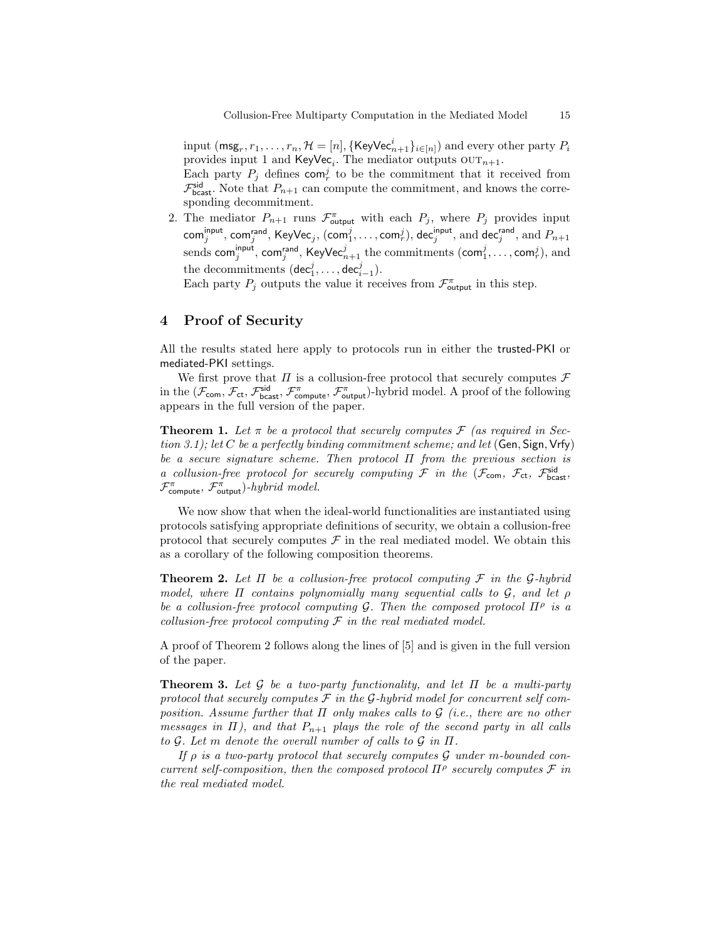input  $(\mathsf{msg}_r,r_1,\ldots,r_n,\mathcal{H}=[n],\{\mathsf{KeyVec}_{n+1}^i\}_{i\in[n]})$  and every other party  $P_i$ provides input 1 and  $KeyVec_i$ . The mediator outputs  $OUT_{n+1}$ .

Each party  $P_j$  defines  $\text{com}_r^j$  to be the commitment that it received from  $\mathcal{F}_{\text{best}}^{\text{sid}}$ . Note that  $P_{n+1}$  can compute the commitment, and knows the corresponding decommitment.

2. The mediator  $P_{n+1}$  runs  $\mathcal{F}_{\text{output}}^{\pi}$  with each  $P_j$ , where  $P_j$  provides input  $\mathsf{com}^{\mathsf{input}}_j, \mathsf{com}^{\mathsf{rand}}_j, \mathsf{KeyVec}_j, (\mathsf{com}^j_1, \dots, \mathsf{com}^j_r), \mathsf{dec}^{\mathsf{input}}_j, \text{ and } \mathsf{dec}^{\mathsf{rand}}_j, \text{ and } P_{n+1}$ sends  $\mathsf{com}^{\mathsf{input}}_j, \mathsf{com}^{\mathsf{rand}}_j, \mathsf{KeyVec}_{n+1}^j$  the commitments  $(\mathsf{com}^j_1, \dots, \mathsf{com}^j_r),$  and the decommitments  $(\mathsf{dec}_1^j, \ldots, \mathsf{dec}_{i-1}^j)$ .

Each party  $P_j$  outputs the value it receives from  $\mathcal{F}_{\text{output}}^{\pi}$  in this step.

# 4 Proof of Security

All the results stated here apply to protocols run in either the trusted-PKI or mediated-PKI settings.

We first prove that  $\Pi$  is a collusion-free protocol that securely computes  ${\mathcal F}$ in the ( $\mathcal{F}_{\textsf{com}}$ ,  $\mathcal{F}_{\textsf{c}}^{\textsf{sid}}$ ,  $\mathcal{F}_{\textsf{compute}}^{\pi}$ ,  $\mathcal{F}_{\textsf{output}}^{\pi}$ )-hybrid model. A proof of the following appears in the full version of the paper.

**Theorem 1.** Let  $\pi$  be a protocol that securely computes  $\mathcal{F}$  (as required in Section 3.1); let C be a perfectly binding commitment scheme; and let  $(Gen, Sign, Vrfy)$ be a secure signature scheme. Then protocol  $\Pi$  from the previous section is a collusion-free protocol for securely computing  $\mathcal F$  in the  $(\mathcal F_{\textsf{com}},\ \mathcal F_{\textsf{ct}},\ \mathcal F_{\textsf{boxt}}^{\textsf{sid}})$  $\mathcal{F}_{\text{compute}}^{\pi}$ ,  $\mathcal{F}_{\text{output}}^{\pi}$ )-hybrid model.

We now show that when the ideal-world functionalities are instantiated using protocols satisfying appropriate definitions of security, we obtain a collusion-free protocol that securely computes  $\mathcal F$  in the real mediated model. We obtain this as a corollary of the following composition theorems.

**Theorem 2.** Let  $\Pi$  be a collusion-free protocol computing  $\mathcal F$  in the  $\mathcal G$ -hybrid model, where  $\Pi$  contains polynomially many sequential calls to  $\mathcal G$ , and let  $\rho$ be a collusion-free protocol computing  $G$ . Then the composed protocol  $\Pi^{\rho}$  is a collusion-free protocol computing  $\mathcal F$  in the real mediated model.

A proof of Theorem 2 follows along the lines of [5] and is given in the full version of the paper.

**Theorem 3.** Let G be a two-party functionality, and let  $\Pi$  be a multi-party protocol that securely computes  $\mathcal F$  in the  $\mathcal G$ -hybrid model for concurrent self composition. Assume further that  $\Pi$  only makes calls to  $\mathcal G$  (i.e., there are no other messages in  $\Pi$ ), and that  $P_{n+1}$  plays the role of the second party in all calls to  $G$ . Let m denote the overall number of calls to  $G$  in  $\Pi$ .

If  $\rho$  is a two-party protocol that securely computes  $\mathcal G$  under m-bounded concurrent self-composition, then the composed protocol  $\Pi^{\rho}$  securely computes  $\mathcal F$  in the real mediated model.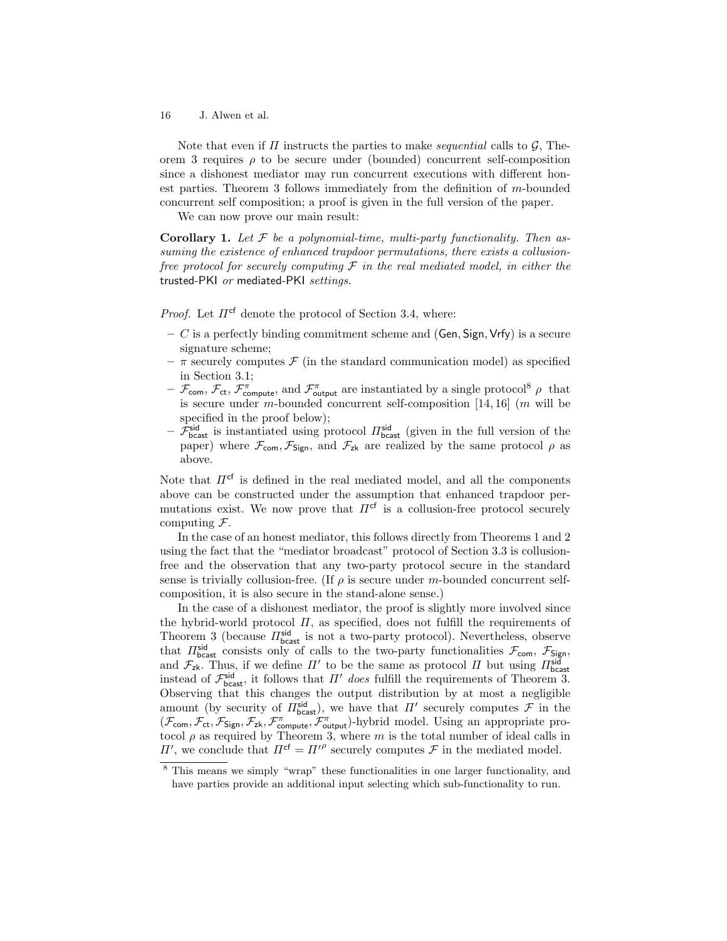Note that even if  $\Pi$  instructs the parties to make *sequential* calls to  $\mathcal{G}$ , Theorem 3 requires  $\rho$  to be secure under (bounded) concurrent self-composition since a dishonest mediator may run concurrent executions with different honest parties. Theorem 3 follows immediately from the definition of m-bounded concurrent self composition; a proof is given in the full version of the paper.

We can now prove our main result:

**Corollary 1.** Let  $\mathcal F$  be a polynomial-time, multi-party functionality. Then assuming the existence of enhanced trapdoor permutations, there exists a collusionfree protocol for securely computing  $\mathcal F$  in the real mediated model, in either the trusted-PKI or mediated-PKI settings.

*Proof.* Let  $\Pi^{\text{cf}}$  denote the protocol of Section 3.4, where:

- C is a perfectly binding commitment scheme and  $(Gen, Sign, Vrfy)$  is a secure signature scheme;
- $-\pi$  securely computes  $\mathcal F$  (in the standard communication model) as specified in Section 3.1;
- $\mathcal{F}_{\text{com}}$ ,  $\mathcal{F}_{\text{ct}}$ ,  $\mathcal{F}_{\text{compute}}^{\pi}$ , and  $\mathcal{F}_{\text{output}}^{\pi}$  are instantiated by a single protocol<sup>8</sup>  $\rho$  that is secure under  $m$ -bounded concurrent self-composition [14, 16]  $(m \text{ will be})$ specified in the proof below);
- $\mathcal{F}_{\text{best}}^{\text{sid}}$  is instantiated using protocol  $\Pi_{\text{best}}^{\text{sid}}$  (given in the full version of the paper) where  $\mathcal{F}_{\text{com}}, \mathcal{F}_{\text{Sign}},$  and  $\mathcal{F}_{\text{zk}}$  are realized by the same protocol  $\rho$  as above.

Note that  $\Pi^{\text{cf}}$  is defined in the real mediated model, and all the components above can be constructed under the assumption that enhanced trapdoor permutations exist. We now prove that  $\Pi^{\mathsf{cf}}$  is a collusion-free protocol securely computing  $\mathcal{F}$ .

In the case of an honest mediator, this follows directly from Theorems 1 and 2 using the fact that the "mediator broadcast" protocol of Section 3.3 is collusionfree and the observation that any two-party protocol secure in the standard sense is trivially collusion-free. (If  $\rho$  is secure under m-bounded concurrent selfcomposition, it is also secure in the stand-alone sense.)

In the case of a dishonest mediator, the proof is slightly more involved since the hybrid-world protocol  $\Pi$ , as specified, does not fulfill the requirements of Theorem 3 (because  $\Pi_{\text{best}}^{\text{sid}}$  is not a two-party protocol). Nevertheless, observe that  $\Pi_{\text{beast}}^{\text{sid}}$  consists only of calls to the two-party functionalities  $\mathcal{F}_{\text{com}}$ ,  $\mathcal{F}_{\text{Sign}}$ , and  $\mathcal{F}_{\mathsf{zk}}$ . Thus, if we define  $\Pi'$  to be the same as protocol  $\Pi$  but using  $\Pi_{\mathsf{best}}^{\mathsf{sid}}$ instead of  $\mathcal{F}_{\text{best}}^{\text{sid}}$ , it follows that  $\Pi'$  does fulfill the requirements of Theorem 3. Observing that this changes the output distribution by at most a negligible amount (by security of  $\pi_{\text{beast}}^{sd}$ ), we have that  $\Pi'$  securely computes  $\mathcal F$  in the  $(\mathcal{F}_{\text{com}}, \mathcal{F}_{\text{ct}}, \mathcal{F}_{\text{Sign}}, \mathcal{F}_{\text{zt}}, \mathcal{F}_{\text{compute}}^{\pi}, \mathcal{F}_{\text{output}}^{\pi})$ -hybrid model. Using an appropriate protocol  $\rho$  as required by Theorem 3, where m is the total number of ideal calls in  $\Pi'$ , we conclude that  $\Pi^{cf} = \Pi'^{\rho}$  securely computes  $\mathcal F$  in the mediated model.

<sup>8</sup> This means we simply "wrap" these functionalities in one larger functionality, and have parties provide an additional input selecting which sub-functionality to run.